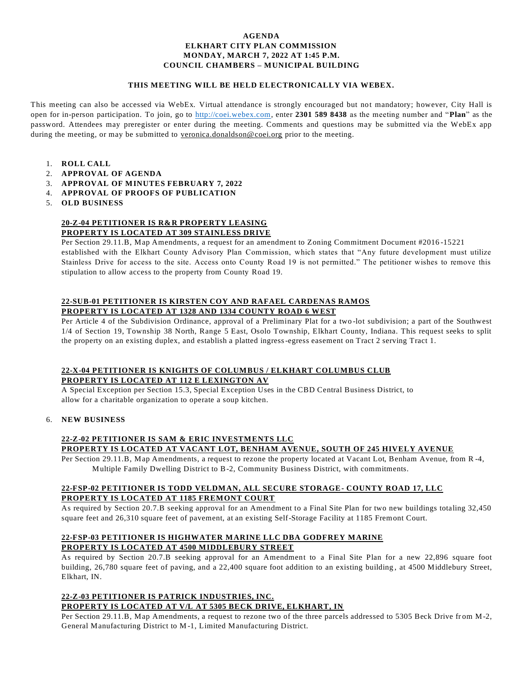### **AGENDA ELKHART CITY PLAN COMMISSION MONDAY, MARCH 7, 2022 AT 1:45 P.M. COUNCIL CHAMBERS – MUNICIPAL BUILDING**

#### **THIS MEETING WILL BE HELD ELECTRONICALLY VIA WEBEX.**

This meeting can also be accessed via WebEx. Virtual attendance is strongly encouraged but not mandatory; however, City Hall is open for in-person participation. To join, go to [http://coei.webex.com,](http://coei.webex.com/) enter **2301 589 8438** as the meeting number and "**Plan**" as the password. Attendees may preregister or enter during the meeting. Comments and questions may be submitted via the WebEx app during the meeting, or may be submitted to veronica.donaldson@coei.org prior to the meeting.

- 1. **ROLL CALL**
- 2. **APPROVAL OF AGENDA**
- 3. **APPROVAL OF MINUTES FEBRUARY 7, 2022**
- 4. **APPROVAL OF PROOFS OF PUBLICATION**
- 5. **OLD BUSINESS**

#### **20-Z-04 PETITIONER IS R&R PROPERTY LEASING PROPERTY IS LOCATED AT 309 STAINLESS DRIVE**

Per Section 29.11.B, Map Amendments, a request for an amendment to Zoning Commitment Document #2016 -15221 established with the Elkhart County Advisory Plan Commission, which states that "Any future development must utilize Stainless Drive for access to the site. Access onto County Road 19 is not permitted." The petitioner wishes to remove this stipulation to allow access to the property from County Road 19.

### **22-SUB-01 PETITIONER IS KIRSTEN COY AND RAFAEL CARDENAS RAMOS PROPERTY IS LOCATED AT 1328 AND 1334 COUNTY ROAD 6 WEST**

Per Article 4 of the Subdivision Ordinance, approval of a Preliminary Plat for a two -lot subdivision; a part of the Southwest 1/4 of Section 19, Township 38 North, Range 5 East, Osolo Township, Elkhart County, Indiana. This request seeks to split the property on an existing duplex, and establish a platted ingress-egress easement on Tract 2 serving Tract 1.

### **22-X-04 PETITIONER IS KNIGHTS OF COLUMBUS / ELKHART COLUMBUS CLUB PROPERTY IS LOCATED AT 112 E LEXINGTON AV**

A Special Exception per Section 15.3, Special Exception Uses in the CBD Central Business District, to allow for a charitable organization to operate a soup kitchen.

### 6. **NEW BUSINESS**

### **22-Z-02 PETITIONER IS SAM & ERIC INVESTMENTS LLC PROPERTY IS LOCATED AT VACANT LOT, BENHAM AVENUE, SOUTH OF 245 HIVELY AVENUE**

Per Section 29.11.B, Map Amendments, a request to rezone the property located at Vacant Lot, Benham Avenue, from R -4, Multiple Family Dwelling District to B-2, Community Business District, with commitments.

# **22-FSP-02 PETITIONER IS TODD VELDMAN, ALL SECURE STORAGE- COUNTY ROAD 17, LLC PROPERTY IS LOCATED AT 1185 FREMONT COURT**

As required by Section 20.7.B seeking approval for an Amendment to a Final Site Plan for two new buildings totaling 32,450 square feet and 26,310 square feet of pavement, at an existing Self-Storage Facility at 1185 Fremont Court.

### **22-FSP-03 PETITIONER IS HIGHWATER MARINE LLC DBA GODFREY MARINE PROPERTY IS LOCATED AT 4500 MIDDLEBURY STREET**

As required by Section 20.7.B seeking approval for an Amendment to a Final Site Plan for a new 22,896 square foot building, 26,780 square feet of paving, and a 22,400 square foot addition to an existing building , at 4500 Middlebury Street, Elkhart, IN.

# **22-Z-03 PETITIONER IS PATRICK INDUSTRIES, INC.**

**PROPERTY IS LOCATED AT V/L AT 5305 BECK DRIVE, ELKHART, IN**

Per Section 29.11.B, Map Amendments, a request to rezone two of the three parcels addressed to 5305 Beck Drive from M-2, General Manufacturing District to M -1, Limited Manufacturing District.